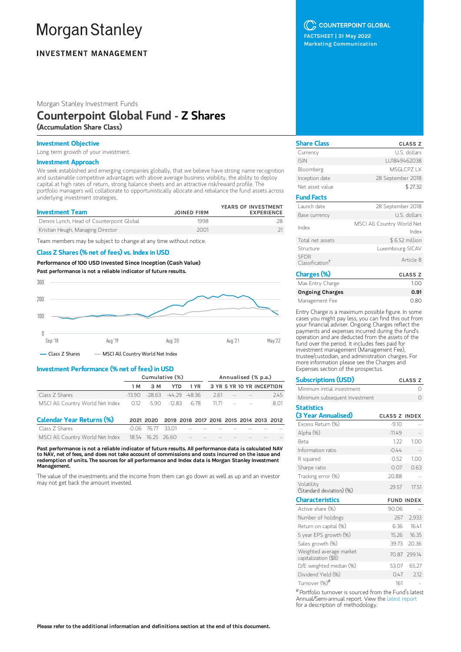# **Morgan Stanley**

# **INVESTMENT MANAGEMENT**

Morgan Stanley Investment Funds

# Counterpoint Global Fund - Z Shares (Accumulation Share Class)

## Investment Objective

Long term growth of your investment.

## Investment Approach

We seek established and emerging companies globally, that we believe have strong name recognition and sustainable competitive advantages with above average business visibility, the ability to deploy capital at high rates of return, strong balance sheets and an attractive risk/reward profile. The portfolio managers will collaborate to opportunistically allocate and rebalance the fund assets across underlying investment strategies.

| <b>Investment Team</b>                    | <b>JOINED FIRM</b> | YEARS OF INVESTMENT<br><b>EXPERIENCE</b> |
|-------------------------------------------|--------------------|------------------------------------------|
| Dennis Lynch, Head of Counterpoint Global | 1998               |                                          |
| Kristian Heugh, Managing Director         | 2001               |                                          |

Team members may be subject to change at any time without notice.

## Class Z Shares (% net of fees) vs. Index in USD

Performance of 100 USD Invested Since Inception (Cash Value)

Past performance is not a reliable indicator of future results.



## Investment Performance (% net of fees) in USD

|                                                          | Cumulative (%) |     |  |  | Annualised (% p.a.)                              |  |  |                                    |
|----------------------------------------------------------|----------------|-----|--|--|--------------------------------------------------|--|--|------------------------------------|
|                                                          | 1 M            | 3 M |  |  |                                                  |  |  | YTD 1 YR 3 YR 5 YR 10 YR INCEPTION |
| Class Z Shares                                           |                |     |  |  | $-13.90$ $-28.63$ $-44.29$ $-48.36$ $-2.61$ $ -$ |  |  | 245                                |
| MSCI All Country World Net Index 0.12 -5.90 -12.83 -6.78 |                |     |  |  | 11.71                                            |  |  | 8.01                               |

| <b>Calendar Year Returns (%)</b>                                                                                                                                                                                              | 2021 2020 2019 2018 2017 2016 2015 2014 2013 2012 |  |  |  |                 |
|-------------------------------------------------------------------------------------------------------------------------------------------------------------------------------------------------------------------------------|---------------------------------------------------|--|--|--|-----------------|
| Class Z Shares                                                                                                                                                                                                                |                                                   |  |  |  |                 |
| MSCI All Country World Net Index 18.54 16.25 26.60 For the case of the case of the Country World Net Index 18.54 16.25 26.60 For the case of the case of the case of the case of the case of the case of the case of the case |                                                   |  |  |  | <b>Contract</b> |

Past performance is not a reliable indicator of future results. All performance data is calculated NAV to NAV, net of fees, and does not take account of commissions and costs incurred on the issue and redemption of units. The sources for all performance and Index data is Morgan Stanley Investment Management.

The value of the investments and the income from them can go down as well as up and an investor may not get back the amount invested.

## C COUNTERPOINT GLOBAL

FACTSHEET | 31 May 2022 Marketing Communication

| <b>Share Class</b>                         | <b>CLASS Z</b>                      |
|--------------------------------------------|-------------------------------------|
| Currency                                   | U.S. dollars                        |
| <b>ISIN</b>                                | LU1849462038                        |
| Bloomberg                                  | MSGLCPZIX                           |
| Inception date                             | 28 September 2018                   |
| Net asset value                            | \$27.32                             |
| <b>Fund Facts</b>                          |                                     |
| Launch date                                | 28 September 2018                   |
| Base currency                              | U.S. dollars                        |
| Index                                      | MSCI All Country World Net<br>Index |
| Total net assets                           | \$6.52 million                      |
| Structure                                  | Luxembourg SICAV                    |
| <b>SFDR</b><br>Classification <sup>†</sup> | Article 8                           |
| Charges (%)                                | <b>CLASS Z</b>                      |
|                                            |                                     |

| Max Entry Charge       | 1.00 |
|------------------------|------|
| <b>Ongoing Charges</b> | 0.91 |
| Management Fee         | 0.80 |

Entry Charge is a maximum possible figure. In some cases you might pay less, you can find this out from your financial adviser. Ongoing Charges reflect the payments and expenses incurred during the fund's operation and are deducted from the assets of the fund over the period. It includes fees paid for investment management (Management Fee), trustee/custodian, and administration charges. For more information please see the Charges and Expenses section of the prospectus.

| <b>Subscriptions (USD)</b>                      |                      | <b>CLASS Z</b>    |
|-------------------------------------------------|----------------------|-------------------|
| Minimum initial investment                      |                      | Ω                 |
| Minimum subsequent Investment                   |                      | $\Omega$          |
| <b>Statistics</b><br>(3 Year Annualised)        | <b>CLASS Z INDEX</b> |                   |
| Excess Return (%)                               | $-9.10$              |                   |
| Alpha (%)                                       | $-1149$              |                   |
| <b>Beta</b>                                     | 1.22                 | 1.00              |
| Information ratio                               | $-0.44$              |                   |
| R squared                                       | 0.52                 | 1.00              |
| Sharpe ratio                                    | 0.07                 | 0.63              |
| Tracking error (%)                              | 20.88                |                   |
| Volatility<br>(Standard deviation) (%)          | 29.57                | 17.51             |
| <b>Characteristics</b>                          |                      | <b>FUND INDEX</b> |
| Active share (%)                                | 90.06                |                   |
| Number of holdings                              | 267                  | 2,933             |
| Return on capital (%)                           | 6.36                 | 16.41             |
| 5 year EPS growth (%)                           |                      | 15.26 16.35       |
| Sales growth (%)                                | 39.73                | 20.36             |
| Weighted average market<br>capitalization (\$B) |                      | 70.87 299.14      |
| D/E weighted median (%)                         | 53.07                | 65.27             |
| Dividend Yield (%)                              | 0.47                 | 2.12              |
| Turnover (%) <sup>#</sup>                       | 161                  |                   |

Portfolio turnover is sourced from the Fund's latest #Annual/Semi-annual report. View the latest [report](https://www.morganstanley.com/im/msinvf/index.html) for a description of methodology.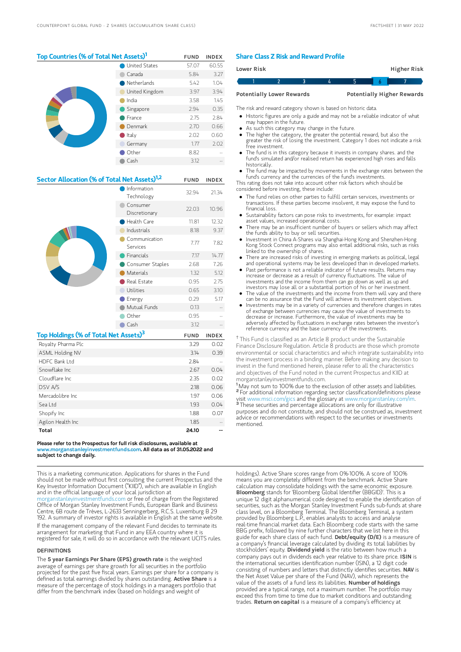## Top Countries (% of Total Net Assets)<sup>1</sup> FUND INDEX

|  | <b>United States</b> | 57.07 | 60.55 |
|--|----------------------|-------|-------|
|  | Canada               | 5.84  | 3.27  |
|  | Netherlands          | 5.42  | 1.04  |
|  | United Kingdom       | 3.97  | 3.94  |
|  | India                | 3.58  | 1.45  |
|  | Singapore            | 2.94  | 0.35  |
|  | France               | 2.75  | 2.84  |
|  | Denmark              | 2.70  | 0.66  |
|  | $\bullet$ Italy      | 2.02  | 0.60  |
|  | Germany              | 1.77  | 2.02  |
|  | Other                | 8.82  |       |
|  | Cash                 | 3.12  |       |
|  |                      |       |       |

## Sector Allocation (% of Total Net Assets)<sup>1,2</sup> FUND INDEX

|                                                   | Information<br>Technology | 32.94       | 21.34        |
|---------------------------------------------------|---------------------------|-------------|--------------|
|                                                   | Consumer<br>Discretionary | 22.03       | 10.96        |
|                                                   | Health Care               | 11.81       | 12.32        |
|                                                   | Industrials               | 8.18        | 9.37         |
|                                                   | Communication<br>Services | 7.77        | 7.82         |
|                                                   | Financials                | 7.17        | 14.77        |
|                                                   | Consumer Staples          | 2.68        | 7.26         |
|                                                   | Materials                 | 1.32        | 5.12         |
|                                                   | Real Estate               | 0.95        | 2.75         |
|                                                   | Utilities                 | 0.65        | 3.10         |
|                                                   | Energy                    | 0.29        | 5.17         |
|                                                   | Mutual Funds              | 0.13        |              |
|                                                   |                           |             |              |
|                                                   | Other                     | 0.95        |              |
|                                                   | Cash                      | 3.12        |              |
| Top Holdings (% of Total Net Assets) <sup>3</sup> |                           | <b>FUND</b> | <b>INDEX</b> |
| Royalty Pharma Plc                                |                           | 3.29        | 0.02         |
| <b>ASML Holding NV</b>                            |                           | 3.14        | 0.39         |
| HDFC Bank I td                                    |                           | 2.84        |              |
| Snowflake Inc                                     |                           | 2.67        | 0.04         |
| Cloudflare Inc                                    |                           | 2.35        | 0.02         |
| DSV A/S                                           |                           | 2.18        | 0.06         |
| Mercadolibre Inc                                  |                           | 1.97        | 0.06         |
| Sea Ltd                                           |                           | 1.93        | 0.04         |
| Shopify Inc                                       |                           | 1.88        | 0.07         |
| Agilon Health Inc                                 |                           | 1.85        |              |

#### Please refer to the Prospectus for full risk disclosures, available at www.morganstanleyinvestmentfunds.com. All data as of 31.05.2022 and subject to change daily.

This is a marketing communication. Applications for shares in the Fund should not be made without first consulting the current Prospectus and the Key Investor Information Document ("KIID"), which are available in English and in the official language of your local jurisdiction at

[morganstanleyinvestmentfunds.com](https://www.morganstanley.com/im/msinvf/index.html) or free of charge from the Registered Office of Morgan Stanley Investment Funds, European Bank and Business Centre, 6B route de Trèves, L-2633 Senningerberg, R.C.S. Luxemburg B 29 192. A summary of investor rights is available in English at the same website.

If the management company of the relevant Fund decides to terminate its arrangement for marketing that Fund in any EEA country where it is registered for sale, it will do so in accordance with the relevant UCITS rules.

### **DEFINITIONS**

The 5 year Earnings Per Share (EPS) growth rate is the weighted average of earnings per share growth for all securities in the portfolio projected for the past five fiscal years. Earnings per share for a company is defined as total earnings divided by shares outstanding. Active Share is a measure of the percentage of stock holdings in a managers portfolio that differ from the benchmark index (based on holdings and weight of

## Share Class Z Risk and Reward Profile

| <b>Lower Risk</b>                |  |  |  |                                   |  | Higher Risk |  |
|----------------------------------|--|--|--|-----------------------------------|--|-------------|--|
|                                  |  |  |  |                                   |  |             |  |
| <b>Potentially Lower Rewards</b> |  |  |  | <b>Potentially Higher Rewards</b> |  |             |  |

The risk and reward category shown is based on historic data.

Historic figures are only a guide and may not be a reliable indicator of what

- may happen in the future.
- As such this category may change in the future.
- The higher the category, the greater the potential reward, but also the greater the risk of losing the investment. Category 1 does not indicate a risk free investment.
- The fund is in this category because it invests in company shares. and the fund's simulated and/or realised return has experienced high rises and falls historically.
- The fund may be impacted by movements in the exchange rates between the fund's currency and the currencies of the fund's investments.

This rating does not take into account other risk factors which should be considered before investing, these include:

- The fund relies on other parties to fulfill certain services, investments or transactions. If these parties become insolvent, it may expose the fund to financial loss.
- Sustainability factors can pose risks to investments, for example: impact asset values, increased operational costs.
- There may be an insufficient number of buyers or sellers which may affect the funds ability to buy or sell securities.
- Investment in China A-Shares via Shanghai-Hong Kong and Shenzhen-Hong Kong Stock Connect programs may also entail additional risks, such as risks linked to the ownership of shares.
- There are increased risks of investing in emerging markets as political, legal and operational systems may be less developed than in developed markets.
- Past performance is not a reliable indicator of future results. Returns may increase or decrease as a result of currency fluctuations. The value of investments and the income from them can go down as well as up and investors may lose all or a substantial portion of his or her investment.
- The value of the investments and the income from them will vary and there can be no assurance that the Fund will achieve its investment objectives.
- Investments may be in a variety of currencies and therefore changes in rates of exchange between currencies may cause the value of investments to decrease or increase. Furthermore, the value of investments may be adversely affected by fluctuations in exchange rates between the investor's reference currency and the base currency of the investments.

<sup>†</sup> This Fund is classified as an Article 8 product under the Sustainable Finance Disclosure Regulation. Article 8 products are those which promote environmental or social characteristics and which integrate sustainability into the investment process in a binding manner. Before making any decision to invest in the fund mentioned herein, please refer to all the characteristics and objectives of the Fund noted in the current Prospectus and KIID at morganstanleyinvestmentfunds.com.

<sup>1</sup>May not sum to 100% due to the exclusion of other assets and liabilities. <sup>2</sup> For additional information regarding sector classification/definitions please visit www.msci.com/gics and the glossary at www.morganstanley.co These securities and percentage allocations are only for illustrative purposes and do not constitute, and should not be construed as, investment advice or recommendations with respect to the securities or investments mentioned. 3

holdings). Active Share scores range from 0%-100%. A score of 100% means you are completely different from the benchmark. Active Share calculation may consolidate holdings with the same economic exposure. Bloomberg stands for 'Bloomberg Global Identifier (BBGID)'. This is a unique 12 digit alphanumerical code designed to enable the identification of securities, such as the Morgan Stanley Investment Funds sub-funds at share class level, on a Bloomberg Terminal. The Bloomberg Terminal, a system provided by Bloomberg L.P., enables analysts to access and analyse real-time financial market data. Each Bloomberg code starts with the same BBG prefix, followed by nine further characters that we list here in this guide for each share class of each fund. Debt/equity (D/E) is a measure of a company's financial leverage calculated by dividing its total liabilities by stockholders' equity. Dividend yield is the ratio between how much a company pays out in dividends each year relative to its share price. ISIN is the international securities identification number (ISIN), a 12 digit code consisting of numbers and letters that distinctly identifies securities. NAV is the Net Asset Value per share of the Fund (NAV), which represents the value of the assets of a fund less its liabilities. Number of holdings provided are a typical range, not a maximum number. The portfolio may exceed this from time to time due to market conditions and outstanding trades. Return on capital is a measure of a company's efficiency at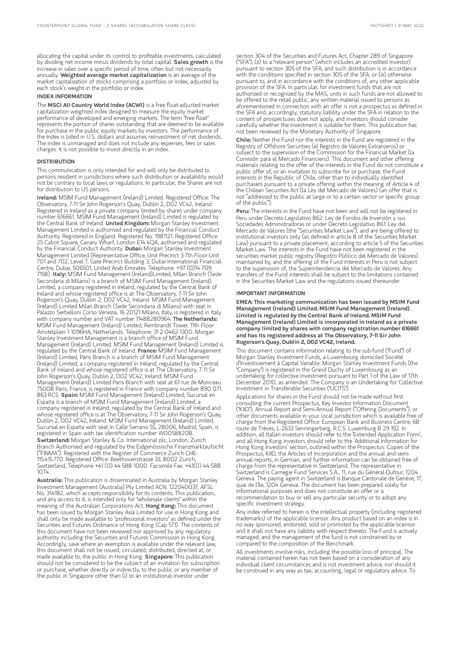allocating the capital under its control to profitable investments, calculated by dividing net income minus dividends by total capital. Sales growth is the increase in sales over a specific period of time, often but not necessarily annually. Weighted average market capitalization is an average of the market capitalization of stocks comprising a portfolio or index, adjusted by each stock's weight in the portfolio or index.

## INDEX INFORMATION

The MSCI All Country World Index (ACWI) is a free float-adjusted market capitalization weighted index designed to measure the equity market performance of developed and emerging markets. The term "free float" represents the portion of shares outstanding that are deemed to be available for purchase in the public equity markets by investors. The performance of the Index is listed in U.S. dollars and assumes reinvestment of net dividends. The index is unmanaged and does not include any expenses, fees or sales charges. It is not possible to invest directly in an index.

### **DISTRIBUTION**

This communication is only intended for and will only be distributed to persons resident in jurisdictions where such distribution or availability would not be contrary to local laws or regulations. In particular, the Shares are not for distribution to US persons.

Ireland: MSIM Fund Management (Ireland) Limited. Registered Office: The Observatory, 7-11 Sir John Rogerson's Quay, Dublin 2, D02 VC42, Ireland. Registered in Ireland as a private company limited by shares under company number 616661. MSIM Fund Management (Ireland) Limited is regulated by the Central Bank of Ireland. United Kingdom: Morgan Stanley Investment Management Limited is authorised and regulated by the Financial Conduct Authority. Registered in England. Registered No. 1981121. Registered Office: 25 Cabot Square, Canary Wharf, London E14 4QA, authorised and regulated by the Financial Conduct Authority. Dubai: Morgan Stanley Investment Management Limited (Representative Office, Unit Precinct 3-7th Floor-Unit 701 and 702, Level 7, Gate Precinct Building 3, Dubai International Financial Centre, Dubai, 506501, United Arab Emirates. Telephone: +97 (0)14 709 7158). Italy: MSIM Fund Management (Ireland)Limited, Milan Branch (Sede Secondaria di Milano) is a branch of MSIM Fund Management (Ireland) Limited, a company registered in Ireland, regulated by the Central Bank of Ireland and whose registered office is at The Observatory, 7-11 Sir John Rogerson's Quay, Dublin 2, D02 VC42, Ireland. MSIM Fund Management (Ireland) Limited Milan Branch (Sede Secondaria di Milano) with seat in Palazzo Serbelloni Corso Venezia, 16 20121 Milano, Italy, is registered in Italy with company number and VAT number 11488280964. The Netherlands: MSIM Fund Management (Ireland) Limited, Rembrandt Tower, 11th Floor Amstelplein 1 1096HA, Netherlands. Telephone: 31 2-0462-1300. Morgan Stanley Investment Management is a branch office of MSIM Fund Management (Ireland) Limited. MSIM Fund Management (Ireland) Limited is regulated by the Central Bank of Ireland. France: MSIM Fund Management (Ireland) Limited, Paris Branch is a branch of MSIM Fund Management (Ireland) Limited, a company registered in Ireland, regulated by the Central Bank of Ireland and whose registered office is at The Observatory, 7-11 Sir John Rogerson's Quay, Dublin 2, D02 VC42, Ireland. MSIM Fund Management (Ireland) Limited Paris Branch with seat at 61 rue de Monceau 75008 Paris, France, is registered in France with company number 890 071 863 RCS. Spain: MSIM Fund Management (Ireland) Limited, Sucursal en España is a branch of MSIM Fund Management (Ireland) Limited, a company registered in Ireland, regulated by the Central Bank of Ireland and whose registered office is at The Observatory, 7-11 Sir John Rogerson's Quay, Dublin 2, D02 VC42, Ireland. MSIM Fund Management (Ireland) Limited, Sucursal en España with seat in Calle Serrano 55, 28006, Madrid, Spain, is registered in Spain with tax identification number W0058820B. Switzerland: Morgan Stanley & Co. International plc, London, Zurich Branch Authorised and regulated by the Eidgenössische Finanzmarktaufsicht ("FINMA"). Registered with the Register of Commerce Zurich CHE-115.415.770. Registered Office: Beethovenstrasse 33, 8002 Zurich, Switzerland, Telephone +41 (0) 44 588 1000. Facsimile Fax: +41(0) 44 588 1074.

Australia: This publication is disseminated in Australia by Morgan Stanley Investment Management (Australia) Pty Limited ACN: 122040037, AFSL No. 314182, which accepts responsibility for its contents. This publication, and any access to it, is intended only for "wholesale clients" within the meaning of the Australian Corporations Act. Hong Kong: This document has been issued by Morgan Stanley Asia Limited for use in Hong Kong and shall only be made available to "professional investors" as defined under the Securities and Futures Ordinance of Hong Kong (Cap 571). The contents of this document have not been reviewed nor approved by any regulatory authority including the Securities and Futures Commission in Hong Kong. Accordingly, save where an exemption is available under the relevant law, this document shall not be issued, circulated, distributed, directed at, or made available to, the public in Hong Kong. Singapore: This publication should not be considered to be the subject of an invitation for subscription or purchase, whether directly or indirectly, to the public or any member of the public in Singapore other than (i) to an institutional investor under

section 304 of the Securities and Futures Act, Chapter 289 of Singapore ("SFA"), (ii) to a "relevant person" (which includes an accredited investor) pursuant to section 305 of the SFA, and such distribution is in accordance with the conditions specified in section 305 of the SFA; or (iii) otherwise pursuant to, and in accordance with the conditions of, any other applicable provision of the SFA. In particular, for investment funds that are not authorized or recognized by the MAS, units in such funds are not allowed to be offered to the retail public; any written material issued to persons as aforementioned in connection with an offer is not a prospectus as defined in the SFA and, accordingly, statutory liability under the SFA in relation to the content of prospectuses does not apply, and investors should consider carefully whether the investment is suitable for them. This publication has not been reviewed by the Monetary Authority of Singapore.

Chile: Neither the Fund nor the interests in the Fund are registered in the Registry of Offshore Securities (el Registro de Valores Extranjeros) or subject to the supervision of the Commission for the Financial Market (la Comisión para el Mercado Financiero). This document and other offering materials relating to the offer of the interests in the Fund do not constitute a public offer of, or an invitation to subscribe for or purchase, the Fund interests in the Republic of Chile, other than to individually identified purchasers pursuant to a private offering within the meaning of Article 4 of the Chilean Securities Act (la Ley del Mercado de Valores) (an offer that is not "addressed to the public at large or to a certain sector or specific group of the public").

Peru: The interests in the Fund have not been and will not be registered in Peru under Decreto Legislativo 862: Ley de Fondos de Inversión y sus Sociedades Administradoras or under Decreto Legislativo 861: Ley del Mercado de Valores (the "Securities Market Law"), and are being offered to institutional investors only (as defined in article 8 of the Securities Market Law) pursuant to a private placement, according to article 5 of the Securities Market Law. The interests in the Fund have not been registered in the securities market public registry (Registro Público del Mercado de Valores) maintained by, and the offering of the Fund interests in Peru is not subject to the supervision of, the Superintendencia del Mercado de Valores. Any transfers of the Fund interests shall be subject to the limitations contained in the Securities Market Law and the regulations issued thereunder.

#### IMPORTANT INFORMATION

EMEA: This marketing communication has been issued by MSIM Fund Management (Ireland) Limited. MSIM Fund Management (Ireland) Limited is regulated by the Central Bank of Ireland. MSIM Fund Management (Ireland) Limited is incorporated in Ireland as a private company limited by shares with company registration number 616661 and has its registered address at The Observatory, 7-11 Sir John Rogerson's Quay, Dublin 2, D02 VC42, Ireland.

This document contains information relating to the sub-fund ("Fund") of Morgan Stanley Investment Funds, a Luxembourg domiciled Société d'Investissement à Capital Variable. Morgan Stanley Investment Funds (the "Company") is registered in the Grand Duchy of Luxembourg as an undertaking for collective investment pursuant to Part 1 of the Law of 17th December 2010, as amended. The Company is an Undertaking for Collective Investment in Transferable Securities ("UCITS").

Applications for shares in the Fund should not be made without first consulting the current Prospectus, Key Investor Information Document ("KIID"), Annual Report and Semi-Annual Report ("Offering Documents"), or other documents available in your local jurisdiction which is available free of charge from the Registered Office: European Bank and Business Centre, 6B route de Trèves, L-2633 Senningerberg, R.C.S. Luxemburg B 29 192. In addition, all Italian investors should refer to the 'Extended Application Form', and all Hong Kong investors should refer to the 'Additional Information for Hong Kong Investors' section, outlined within the Prospectus. Copies of the Prospectus, KIID, the Articles of Incorporation and the annual and semiannual reports, in German, and further information can be obtained free of charge from the representative in Switzerland. The representative in Switzerland is Carnegie Fund Services S.A., 11, rue du Général-Dufour, 1204 Geneva. The paying agent in Switzerland is Banque Cantonale de Genève, 17, quai de l'Ile, 1204 Geneva. The document has been prepared solely for informational purposes and does not constitute an offer or a recommendation to buy or sell any particular security or to adopt any specific investment strategy.

Any index referred to herein is the intellectual property (including registered trademarks) of the applicable licensor. Any product based on an index is in no way sponsored, endorsed, sold or promoted by the applicable licensor and it shall not have any liability with respect thereto. The Fund is actively managed, and the management of the fund is not constrained by or compared to the composition of the Benchmark.

All investments involve risks, including the possible loss of principal. The material contained herein has not been based on a consideration of any individual client circumstances and is not investment advice, nor should it be construed in any way as tax, accounting, legal or regulatory advice. To